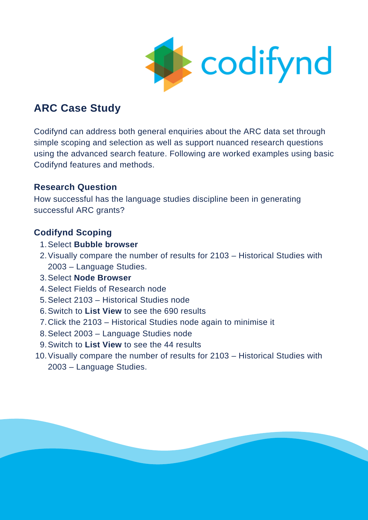

# **ARC Case Study**

Codifynd can address both general enquiries about the ARC data set through simple scoping and selection as well as support nuanced research questions using the advanced search feature. Following are worked examples using basic Codifynd features and methods.

## **Research Question**

How successful has the language studies discipline been in generating successful ARC grants?

# **Codifynd Scoping**

- 1. Select **Bubble browser**
- 2. Visually compare the number of results for 2103 Historical Studies with 2003 – Language Studies.
- Select **Node Browser** 3.
- 4. Select Fields of Research node
- 5. Select 2103 Historical Studies node
- Switch to **List View** to see the 690 results 6.
- 7. Click the 2103 Historical Studies node again to minimise it
- Select 2003 Language Studies node 8.
- Switch to **List View** to see the 44 results 9.
- 10. Visually compare the number of results for 2103 Historical Studies with 2003 – Language Studies.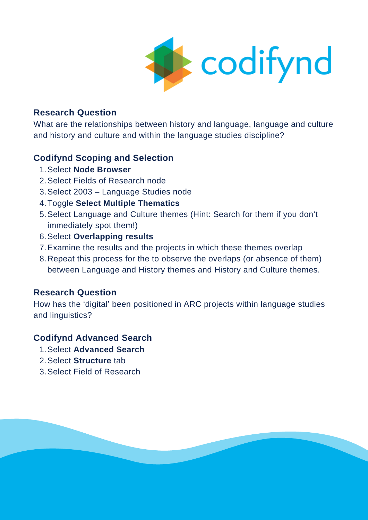

#### **Research Question**

What are the relationships between history and language, language and culture and history and culture and within the language studies discipline?

## **Codifynd Scoping and Selection**

- 1. Select **Node Browser**
- 2. Select Fields of Research node
- Select 2003 Language Studies node 3.
- Toggle **Select Multiple Thematics** 4.
- Select Language and Culture themes (Hint: Search for them if you don't 5. immediately spot them!)
- Select **Overlapping results** 6.
- 7. Examine the results and the projects in which these themes overlap
- Repeat this process for the to observe the overlaps (or absence of them) 8. between Language and History themes and History and Culture themes.

## **Research Question**

How has the 'digital' been positioned in ARC projects within language studies and linguistics?

#### **Codifynd Advanced Search**

- 1. Select Advanced Search
- 2. Select **Structure** tab
- Select Field of Research 3.